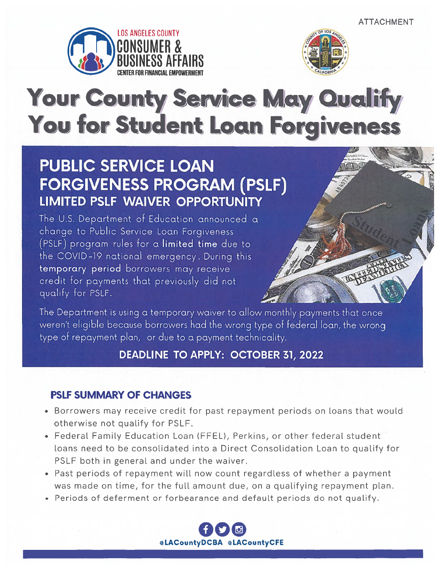



# Your County Service May Qualify You for Student Loan Forgiveness

## **PUBLIC SERVICE LOAN FORGIVENESS PROGRAM (PSLF) LIMITED PSLF WAIVER OPPORTUNITY**

The U.S. Department of Education announced a change to Public Service Loan Forgiveness (PSLF) program rules for a limited time due to the COVID-19 national emergency. During this temporary period borrowers may receive credit for payments that previously did not qualify for PSLF.



The Department is using a temporary waiver to allow monthly payments that once weren't eligible because borrowers had the wrong type of federal loan, the wrong type of repayment plan, or due to a payment technicality.

### DEADLINE TO APPLY: OCTOBER 31, 2022

#### PSLF SUMMARY OF CHANGES

- Borrowers may receive credit for pas<sup>t</sup> repaymen<sup>t</sup> periods on loans that would otherwise not qualify for PSLF.
- Federal Family Education Loan (FFEL), Perkins, or other federal student loans need to be consolidated into <sup>a</sup> Direct Consolidation Loan to qualify for PSLF both in general and under the waiver.
- Past periods of repaymen<sup>t</sup> will now count regardless of whether <sup>a</sup> paymen<sup>t</sup> was made on time, for the full amount due, on <sup>a</sup> qualifying repaymen<sup>t</sup> plan.
- Periods of deferment or forbearance and default periods do not qualify.